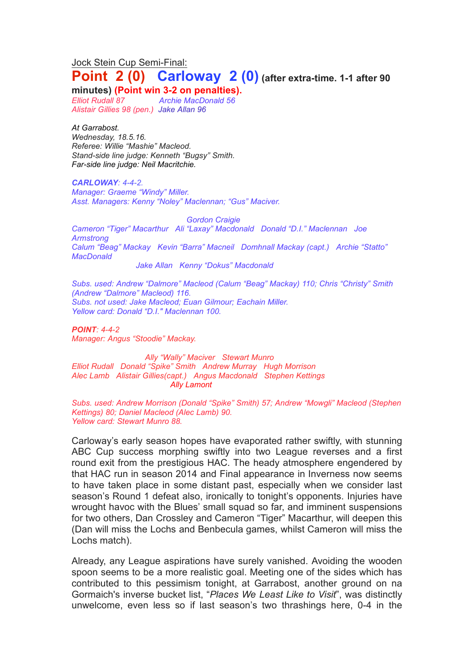Jock Stein Cup Semi-Final:

# **Point 2 (0) Carloway 2 (0) (after extra-time. 1-1 after <sup>90</sup>**

**minutes) (Point win 3-2 on penalties).**

*Elliot Rudall 87 Archie MacDonald 56 Alistair Gillies 98 (pen.) Jake Allan 96*

*At Garrabost. Wednesday, 18.5.16. Referee: Willie "Mashie" Macleod. Stand-side line judge: Kenneth "Bugsy" Smith. Far-side line judge: Neil Macritchie.*

*CARLOWAY: 4-4-2. Manager: Graeme "Windy" Miller. Asst. Managers: Kenny "Noley" Maclennan; "Gus" Maciver.*

*Gordon Craigie Cameron "Tiger" Macarthur Ali "Laxay" Macdonald Donald "D.I." Maclennan Joe Armstrong Calum "Beag" Mackay Kevin "Barra" Macneil Domhnall Mackay (capt.) Archie "Statto" MacDonald*

*Jake Allan Kenny "Dokus" Macdonald* 

*Subs. used: Andrew "Dalmore" Macleod (Calum "Beag" Mackay) 110; Chris "Christy" Smith (Andrew "Dalmore" Macleod) 116. Subs. not used: Jake Macleod; Euan Gilmour; Eachain Miller. Yellow card: Donald "D.I." Maclennan 100.* 

*POINT: 4-4-2 Manager: Angus "Stoodie" Mackay.*

*Ally "Wally" Maciver Stewart Munro Elliot Rudall Donald "Spike" Smith Andrew Murray Hugh Morrison Alec Lamb Alistair Gillies(capt.) Angus Macdonald Stephen Kettings Ally Lamont*

*Subs. used: Andrew Morrison (Donald "Spike" Smith) 57; Andrew "Mowgli" Macleod (Stephen Kettings) 80; Daniel Macleod (Alec Lamb) 90. Yellow card: Stewart Munro 88.*

Carloway's early season hopes have evaporated rather swiftly, with stunning ABC Cup success morphing swiftly into two League reverses and a first round exit from the prestigious HAC. The heady atmosphere engendered by that HAC run in season 2014 and Final appearance in Inverness now seems to have taken place in some distant past, especially when we consider last season's Round 1 defeat also, ironically to tonight's opponents. Injuries have wrought havoc with the Blues' small squad so far, and imminent suspensions for two others, Dan Crossley and Cameron "Tiger" Macarthur, will deepen this (Dan will miss the Lochs and Benbecula games, whilst Cameron will miss the Lochs match).

Already, any League aspirations have surely vanished. Avoiding the wooden spoon seems to be a more realistic goal. Meeting one of the sides which has contributed to this pessimism tonight, at Garrabost, another ground on na Gormaich's inverse bucket list, "*Places We Least Like to Visit*", was distinctly unwelcome, even less so if last season's two thrashings here, 0-4 in the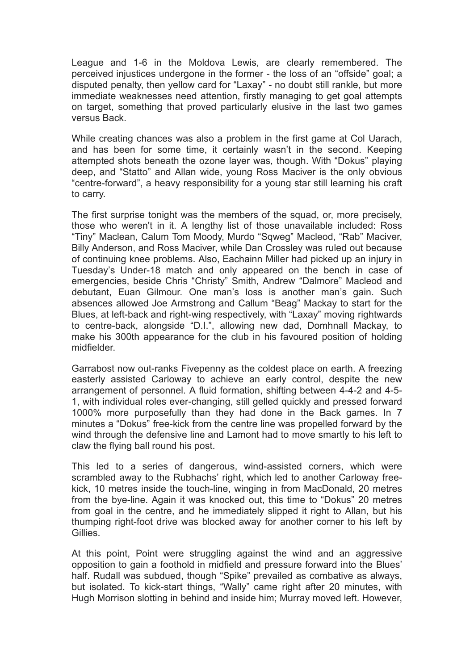League and 1-6 in the Moldova Lewis, are clearly remembered. The perceived injustices undergone in the former - the loss of an "offside" goal; a disputed penalty, then yellow card for "Laxay" - no doubt still rankle, but more immediate weaknesses need attention, firstly managing to get goal attempts on target, something that proved particularly elusive in the last two games versus Back.

While creating chances was also a problem in the first game at Col Uarach, and has been for some time, it certainly wasn't in the second. Keeping attempted shots beneath the ozone layer was, though. With "Dokus" playing deep, and "Statto" and Allan wide, young Ross Maciver is the only obvious "centre-forward", a heavy responsibility for a young star still learning his craft to carry.

The first surprise tonight was the members of the squad, or, more precisely, those who weren't in it. A lengthy list of those unavailable included: Ross "Tiny" Maclean, Calum Tom Moody, Murdo "Sqweg" Macleod, "Rab" Maciver, Billy Anderson, and Ross Maciver, while Dan Crossley was ruled out because of continuing knee problems. Also, Eachainn Miller had picked up an injury in Tuesday's Under-18 match and only appeared on the bench in case of emergencies, beside Chris "Christy" Smith, Andrew "Dalmore" Macleod and debutant, Euan Gilmour. One man's loss is another man's gain. Such absences allowed Joe Armstrong and Callum "Beag" Mackay to start for the Blues, at left-back and right-wing respectively, with "Laxay" moving rightwards to centre-back, alongside "D.I.", allowing new dad, Domhnall Mackay, to make his 300th appearance for the club in his favoured position of holding midfielder.

Garrabost now out-ranks Fivepenny as the coldest place on earth. A freezing easterly assisted Carloway to achieve an early control, despite the new arrangement of personnel. A fluid formation, shifting between 4-4-2 and 4-5- 1, with individual roles ever-changing, still gelled quickly and pressed forward 1000% more purposefully than they had done in the Back games. In 7 minutes a "Dokus" free-kick from the centre line was propelled forward by the wind through the defensive line and Lamont had to move smartly to his left to claw the flying ball round his post.

This led to a series of dangerous, wind-assisted corners, which were scrambled away to the Rubhachs' right, which led to another Carloway freekick, 10 metres inside the touch-line, winging in from MacDonald, 20 metres from the bye-line. Again it was knocked out, this time to "Dokus" 20 metres from goal in the centre, and he immediately slipped it right to Allan, but his thumping right-foot drive was blocked away for another corner to his left by Gillies.

At this point, Point were struggling against the wind and an aggressive opposition to gain a foothold in midfield and pressure forward into the Blues' half. Rudall was subdued, though "Spike" prevailed as combative as always, but isolated. To kick-start things, "Wally" came right after 20 minutes, with Hugh Morrison slotting in behind and inside him; Murray moved left. However,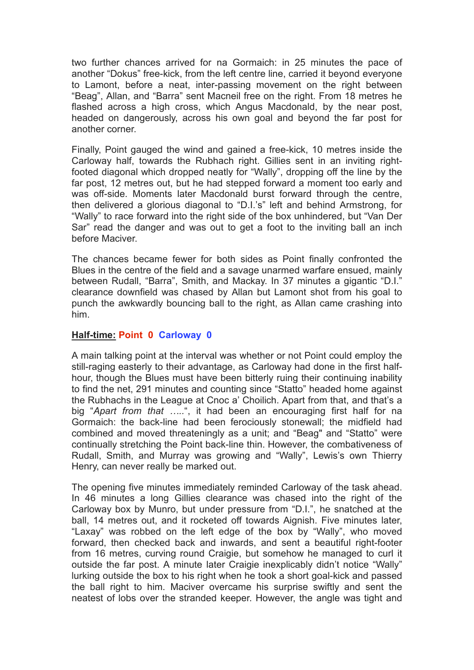two further chances arrived for na Gormaich: in 25 minutes the pace of another "Dokus" free-kick, from the left centre line, carried it beyond everyone to Lamont, before a neat, inter-passing movement on the right between "Beag", Allan, and "Barra" sent Macneil free on the right. From 18 metres he flashed across a high cross, which Angus Macdonald, by the near post, headed on dangerously, across his own goal and beyond the far post for another corner.

Finally, Point gauged the wind and gained a free-kick, 10 metres inside the Carloway half, towards the Rubhach right. Gillies sent in an inviting rightfooted diagonal which dropped neatly for "Wally", dropping off the line by the far post, 12 metres out, but he had stepped forward a moment too early and was off-side. Moments later Macdonald burst forward through the centre, then delivered a glorious diagonal to "D.I.'s" left and behind Armstrong, for "Wally" to race forward into the right side of the box unhindered, but "Van Der Sar" read the danger and was out to get a foot to the inviting ball an inch before Maciver.

The chances became fewer for both sides as Point finally confronted the Blues in the centre of the field and a savage unarmed warfare ensued, mainly between Rudall, "Barra", Smith, and Mackay. In 37 minutes a gigantic "D.I." clearance downfield was chased by Allan but Lamont shot from his goal to punch the awkwardly bouncing ball to the right, as Allan came crashing into him.

#### **Half-time: Point 0 Carloway 0**

A main talking point at the interval was whether or not Point could employ the still-raging easterly to their advantage, as Carloway had done in the first halfhour, though the Blues must have been bitterly ruing their continuing inability to find the net, 291 minutes and counting since "Statto" headed home against the Rubhachs in the League at Cnoc a' Choilich. Apart from that, and that's a big "*Apart from that …..*", it had been an encouraging first half for na Gormaich: the back-line had been ferociously stonewall; the midfield had combined and moved threateningly as a unit; and "Beag" and "Statto" were continually stretching the Point back-line thin. However, the combativeness of Rudall, Smith, and Murray was growing and "Wally", Lewis's own Thierry Henry, can never really be marked out.

The opening five minutes immediately reminded Carloway of the task ahead. In 46 minutes a long Gillies clearance was chased into the right of the Carloway box by Munro, but under pressure from "D.I.", he snatched at the ball, 14 metres out, and it rocketed off towards Aignish. Five minutes later, "Laxay" was robbed on the left edge of the box by "Wally", who moved forward, then checked back and inwards, and sent a beautiful right-footer from 16 metres, curving round Craigie, but somehow he managed to curl it outside the far post. A minute later Craigie inexplicably didn't notice "Wally" lurking outside the box to his right when he took a short goal-kick and passed the ball right to him. Maciver overcame his surprise swiftly and sent the neatest of lobs over the stranded keeper. However, the angle was tight and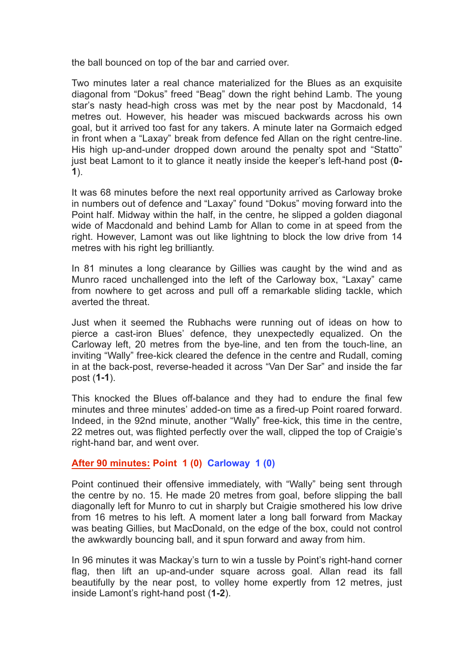the ball bounced on top of the bar and carried over.

Two minutes later a real chance materialized for the Blues as an exquisite diagonal from "Dokus" freed "Beag" down the right behind Lamb. The young star's nasty head-high cross was met by the near post by Macdonald, 14 metres out. However, his header was miscued backwards across his own goal, but it arrived too fast for any takers. A minute later na Gormaich edged in front when a "Laxay" break from defence fed Allan on the right centre-line. His high up-and-under dropped down around the penalty spot and "Statto" just beat Lamont to it to glance it neatly inside the keeper's left-hand post (**0- 1**).

It was 68 minutes before the next real opportunity arrived as Carloway broke in numbers out of defence and "Laxay" found "Dokus" moving forward into the Point half. Midway within the half, in the centre, he slipped a golden diagonal wide of Macdonald and behind Lamb for Allan to come in at speed from the right. However, Lamont was out like lightning to block the low drive from 14 metres with his right leg brilliantly.

In 81 minutes a long clearance by Gillies was caught by the wind and as Munro raced unchallenged into the left of the Carloway box, "Laxay" came from nowhere to get across and pull off a remarkable sliding tackle, which averted the threat.

Just when it seemed the Rubhachs were running out of ideas on how to pierce a cast-iron Blues' defence, they unexpectedly equalized. On the Carloway left, 20 metres from the bye-line, and ten from the touch-line, an inviting "Wally" free-kick cleared the defence in the centre and Rudall, coming in at the back-post, reverse-headed it across "Van Der Sar" and inside the far post (**1-1**).

This knocked the Blues off-balance and they had to endure the final few minutes and three minutes' added-on time as a fired-up Point roared forward. Indeed, in the 92nd minute, another "Wally" free-kick, this time in the centre, 22 metres out, was flighted perfectly over the wall, clipped the top of Craigie's right-hand bar, and went over.

# **After 90 minutes: Point 1 (0) Carloway 1 (0)**

Point continued their offensive immediately, with "Wally" being sent through the centre by no. 15. He made 20 metres from goal, before slipping the ball diagonally left for Munro to cut in sharply but Craigie smothered his low drive from 16 metres to his left. A moment later a long ball forward from Mackay was beating Gillies, but MacDonald, on the edge of the box, could not control the awkwardly bouncing ball, and it spun forward and away from him.

In 96 minutes it was Mackay's turn to win a tussle by Point's right-hand corner flag, then lift an up-and-under square across goal. Allan read its fall beautifully by the near post, to volley home expertly from 12 metres, just inside Lamont's right-hand post (**1-2**).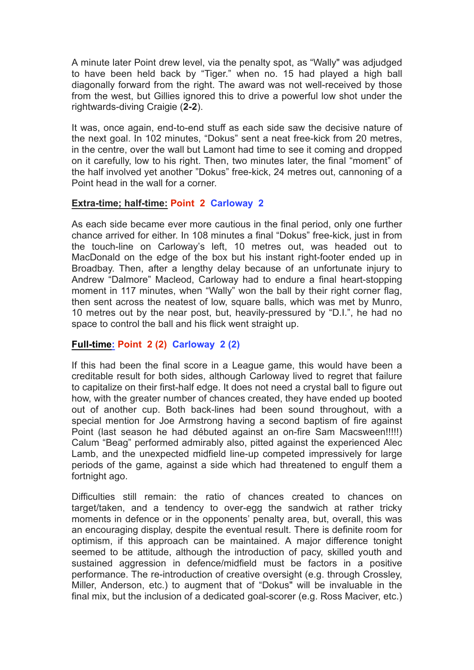A minute later Point drew level, via the penalty spot, as "Wally" was adjudged to have been held back by "Tiger." when no. 15 had played a high ball diagonally forward from the right. The award was not well-received by those from the west, but Gillies ignored this to drive a powerful low shot under the rightwards-diving Craigie (**2-2**).

It was, once again, end-to-end stuff as each side saw the decisive nature of the next goal. In 102 minutes, "Dokus" sent a neat free-kick from 20 metres, in the centre, over the wall but Lamont had time to see it coming and dropped on it carefully, low to his right. Then, two minutes later, the final "moment" of the half involved yet another "Dokus" free-kick, 24 metres out, cannoning of a Point head in the wall for a corner.

### **Extra-time; half-time: Point 2 Carloway 2**

As each side became ever more cautious in the final period, only one further chance arrived for either. In 108 minutes a final "Dokus" free-kick, just in from the touch-line on Carloway's left, 10 metres out, was headed out to MacDonald on the edge of the box but his instant right-footer ended up in Broadbay. Then, after a lengthy delay because of an unfortunate injury to Andrew "Dalmore" Macleod, Carloway had to endure a final heart-stopping moment in 117 minutes, when "Wally" won the ball by their right corner flag, then sent across the neatest of low, square balls, which was met by Munro, 10 metres out by the near post, but, heavily-pressured by "D.I.", he had no space to control the ball and his flick went straight up.

# **Full-time: Point 2 (2) Carloway 2 (2)**

If this had been the final score in a League game, this would have been a creditable result for both sides, although Carloway lived to regret that failure to capitalize on their first-half edge. It does not need a crystal ball to figure out how, with the greater number of chances created, they have ended up booted out of another cup. Both back-lines had been sound throughout, with a special mention for Joe Armstrong having a second baptism of fire against Point (last season he had débuted against an on-fire Sam Macsween!!!!!) Calum "Beag" performed admirably also, pitted against the experienced Alec Lamb, and the unexpected midfield line-up competed impressively for large periods of the game, against a side which had threatened to engulf them a fortnight ago.

Difficulties still remain: the ratio of chances created to chances on target/taken, and a tendency to over-egg the sandwich at rather tricky moments in defence or in the opponents' penalty area, but, overall, this was an encouraging display, despite the eventual result. There is definite room for optimism, if this approach can be maintained. A major difference tonight seemed to be attitude, although the introduction of pacy, skilled youth and sustained aggression in defence/midfield must be factors in a positive performance. The re-introduction of creative oversight (e.g. through Crossley, Miller, Anderson, etc.) to augment that of "Dokus" will be invaluable in the final mix, but the inclusion of a dedicated goal-scorer (e.g. Ross Maciver, etc.)